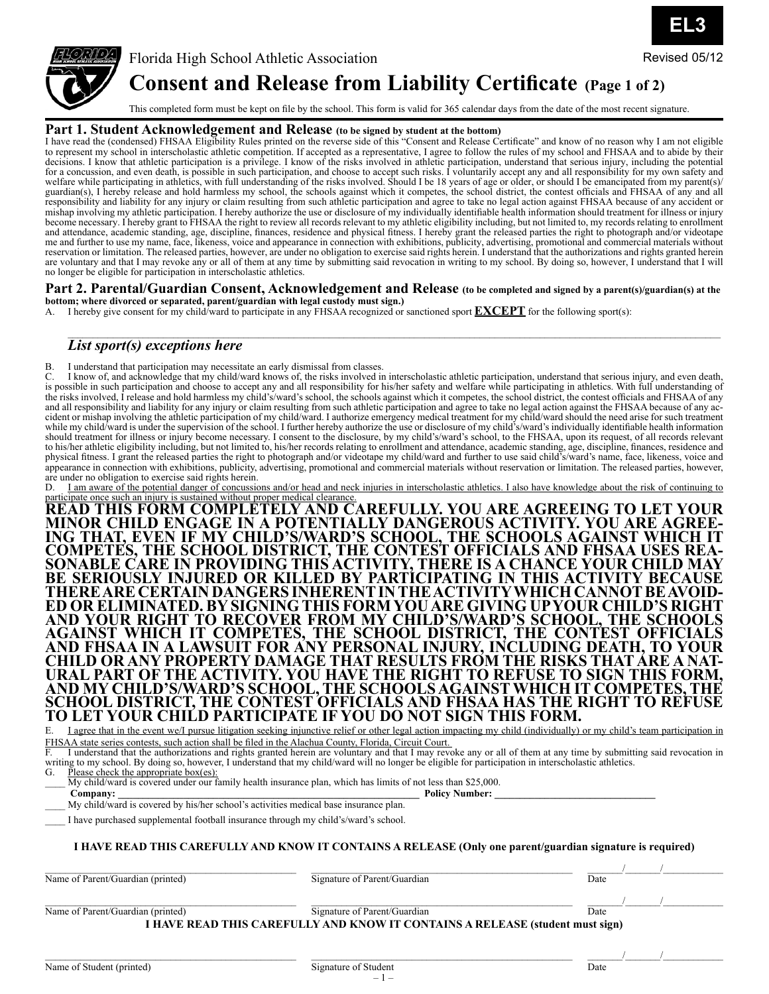

Florida High School Athletic Association **Consent and Release from Liability Certificate (Page 1 of 2)** Revised 05/12

This completed form must be kept on file by the school. This form is valid for 365 calendar days from the date of the most recent signature.

## **Part 1. Student Acknowledgement and Release (to be signed by student at the bottom)**

I have read the (condensed) FHSAA Eligibility Rules printed on the reverse side of this "Consent and Release Certificate" and know of no reason why I am not eligible to represent my school in interscholastic athletic competition. If accepted as a representative, I agree to follow the rules of my school and FHSAA and to abide by their decisions. I know that athletic participation is a privilege. I know of the risks involved in athletic participation, understand that serious injury, including the potential for a concussion, and even death, is possible in such participation, and choose to accept such risks. I voluntarily accept any and all responsibility for my own safety and welfare while participating in athletics, with full understanding of the risks involved. Should I be 18 years of age or older, or should I be emancipated from my parent(s)/ guardian(s), I hereby release and hold harmless my school, the schools against which it competes, the school district, the contest officials and FHSAA of any and all responsibility and liability for any injury or claim resulting from such athletic participation and agree to take no legal action against FHSAA because of any accident or mishap involving my athletic participation. I hereby authorize the use or disclosure of my individually identifiable health information should treatment for illness or injury become necessary. I hereby grant to FHSAA the right to review all records relevant to my athletic eligibility including, but not limited to, my records relating to enrollment and attendance, academic standing, age, discipline, finances, residence and physical fitness. I hereby grant the released parties the right to photograph and/or videotape me and further to use my name, face, likeness, voice and appearance in connection with exhibitions, publicity, advertising, promotional and commercial materials without reservation or limitation. The released parties, however, are under no obligation to exercise said rights herein. I understand that the authorizations and rights granted herein are voluntary and that I may revoke any or all of them at any time by submitting said revocation in writing to my school. By doing so, however, I understand that I will no longer be eligible for participation in interscholastic athletics.

#### **Part 2. Parental/Guardian Consent, Acknowledgement and Release (to be completed and signed by a parent(s)/guardian(s) at the bottom; where divorced or separated, parent/guardian with legal custody must sign.)**

\_\_\_\_\_\_\_\_\_\_\_\_\_\_\_\_\_\_\_\_\_\_\_\_\_\_\_\_\_\_\_\_\_\_\_\_\_\_\_\_\_\_\_\_\_\_\_\_\_\_\_\_\_\_\_\_\_\_\_\_\_\_\_\_\_\_\_\_\_\_\_\_\_\_\_\_\_\_\_\_\_\_\_\_\_\_\_\_\_\_\_\_\_\_\_\_\_\_\_\_\_\_\_\_\_\_\_\_\_\_\_\_\_\_\_\_\_\_\_\_\_\_\_\_\_\_\_\_\_\_

A. I hereby give consent for my child/ward to participate in any FHSAA recognized or sanctioned sport **EXCEPT** for the following sport(s):

## *List sport(s) exceptions here*

B. I understand that participation may necessitate an early dismissal from classes.<br>C. I know of and acknowledge that my child/ward knows of the risks involved in

C. I know of, and acknowledge that my child/ward knows of, the risks involved in interscholastic athletic participation, understand that serious injury, and even death, is possible in such participation and choose to accept any and all responsibility for his/her safety and welfare while participating in athletics. With full understanding of the risks involved, I release and hold harmless my child's/ward's school, the schools against which it competes, the school district, the contest officials and FHSAA of any and all responsibility and liability for any injury or claim resulting from such athletic participation and agree to take no legal action against the FHSAA because of any accident or mishap involving the athletic participation of my child/ward. I authorize emergency medical treatment for my child/ward should the need arise for such treatment while my child/ward is under the supervision of the school. I further hereby authorize the use or disclosure of my child's/ward's individually identifiable health information should treatment for illness or injury become necessary. I consent to the disclosure, by my child's/ward's school, to the FHSAA, upon its request, of all records relevant to his/her athletic eligibility including, but not limited to, his/her records relating to enrollment and attendance, academic standing, age, discipline, finances, residence and physical fitness. I grant the released parties the right to photograph and/or videotape my child/ward and further to use said child's/ward's name, face, likeness, voice and appearance in connection with exhibitions, publicity, advertising, promotional and commercial materials without reservation or limitation. The released parties, however, are under no obligation to exercise said rights herein.

I am aware of the potential danger of concussions and/or head and neck injuries in interscholastic athletics. I also have knowledge about the risk of continuing to

participate once <u>such an injury is sustained without proper medical clearance.</u><br>READ THIS FORM COMPLETELY AND CAREFULLY. YOU ARE AGREEING TO LET YOUR **MINOR CHILD ENGAGE IN A POTENTIALLY DANGEROUS ACTIVITY. YOU ARE AGREE- ING THAT, EVEN IF MY CHILD'S/WARD'S SCHOOL, THE SCHOOLS AGAINST WHICH IT COMPETES, THE SCHOOL DISTRICT, THE CONTEST OFFICIALS AND FHSAA USES REA- SONABLE CARE IN PROVIDING THIS ACTIVITY, THERE IS A CHANCE YOUR CHILD MAY BE SERIOUSLY INJURED OR KILLED BY PARTICIPATING IN THIS ACTIVITY BECAUSE THERE ARE CERTAIN DANGERS INHERENT IN THE ACTIVITY WHICH CANNOT BE AVOID- ED OR ELIMINATED. BY SIGNING THIS FORM YOU ARE GIVING UP YOUR CHILD'S RIGHT AND YOUR RIGHT TO RECOVER FROM MY CHILD'S/WARD'S SCHOOL, THE SCHOOLS AGAINST WHICH IT COMPETES, THE SCHOOL DISTRICT, THE CONTEST OFFICIALS AND FHSAA IN A LAWSUIT FOR ANY PERSONAL INJURY, INCLUDING DEATH, TO YOUR CHILD OR ANY PROPERTY DAMAGE THAT RESULTS FROM THE RISKS THAT ARE A NAT- URAL PART OF THE ACTIVITY. YOU HAVE THE RIGHT TO REFUSE TO SIGN THIS FORM, AND MY CHILD'S/WARD'S SCHOOL, THE SCHOOLS AGAINST WHICH IT COMPETES, THE SCHOOL DISTRICT, THE CONTEST OFFICIALS AND FHSAA HAS THE RIGHT TO REFUSE TO LET YOUR CHILD PARTICIPATE IF YOU DO NOT SIGN THIS FORM.**<br>E I agree that in the event well pursue litigation seeking injunctive relief or other legal action impacting my child (individually)

E. I agree that in the event we/I pursue litigation seeking injunctive relief or other legal action impacting my child (individually) or my child's team participation in FHSAA state series contests, such action shall be filed in the Alachua County, Florida, Circuit Court.

F. I understand that the authorizations and rights granted herein are voluntary and that I may revoke any or all of them at any time by submitting said revocation in writing to my school. By doing so, however, I understand that my child/ward will no longer be eligible for participation in interscholastic athletics.<br>G. Please check the appropriate box(es):

Please check the appropriate box(es):

| Company: |                                                                                                              |  | <b>Policy Number:</b> |
|----------|--------------------------------------------------------------------------------------------------------------|--|-----------------------|
|          | My child/ward is covered under our family health insurance plan, which has limits of not less than \$25,000. |  |                       |

My child/ward is covered by his/her school's activities medical base insurance plan.

I have purchased supplemental football insurance through my child's/ward's school.

### **I HAVE READ THIS CAREFULLY AND KNOW IT CONTAINS A RELEASE (Only one parent/guardian signature is required)**

Name of Parent/Guardian (printed) Signature of Parent/Guardian Date

**EL3**

Name of Parent/Guardian (printed) Bignature of Parent/Guardian Date

 $\mathcal{L}=\{I_1,\ldots,I_{n-1}\}$ 

**I HAVE READ THIS CAREFULLY AND KNOW IT CONTAINS A RELEASE (student must sign)**

 $\_$  ,  $\_$  ,  $\_$  ,  $\_$  ,  $\_$  ,  $\_$  ,  $\_$  ,  $\_$  ,  $\_$  ,  $\_$  ,  $\_$  ,  $\_$  ,  $\_$  ,  $\_$  ,  $\_$  ,  $\_$  ,  $\_$  ,  $\_$  ,  $\_$  ,  $\_$  ,  $\_$  ,  $\_$  ,  $\_$  ,  $\_$  ,  $\_$  ,  $\_$  ,  $\_$  ,  $\_$  ,  $\_$  ,  $\_$  ,  $\_$  ,  $\_$  ,  $\_$  ,  $\_$  ,  $\_$  ,  $\_$  ,  $\_$  ,

 $\mathcal{L}=\{I_1,\ldots,I_{n-1}\}$